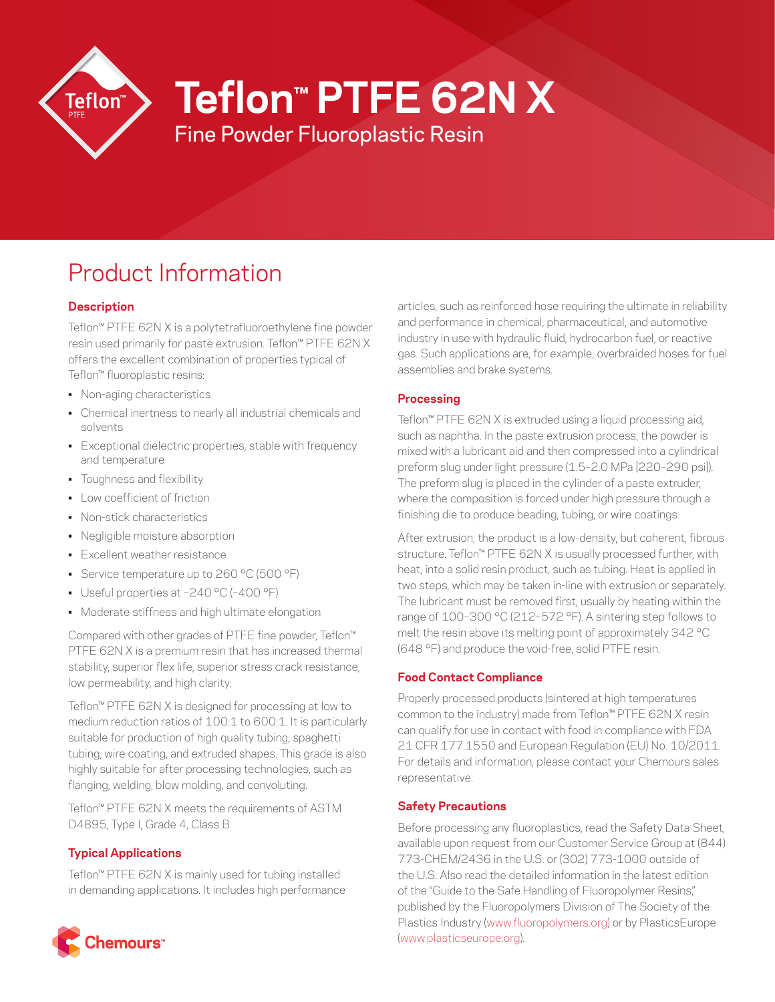

# **Teflon™ PTFE 62N X**

Fine Powder Fluoroplastic Resin

# Product Information

# **Description**

Teflon™ PTFE 62N X is a polytetrafluoroethylene fine powder resin used primarily for paste extrusion. Teflon™ PTFE 62N X offers the excellent combination of properties typical of Teflon™ fluoroplastic resins:

- Non-aging characteristics
- Chemical inertness to nearly all industrial chemicals and solvents
- Exceptional dielectric properties, stable with frequency and temperature
- Toughness and flexibility
- Low coefficient of friction
- Non-stick characteristics
- Negligible moisture absorption
- Excellent weather resistance
- Service temperature up to 260 °C (500 °F)
- Useful properties at –240 °C (–400 °F)
- Moderate stiffness and high ultimate elongation

Compared with other grades of PTFE fine powder, Teflon™ PTFE 62N X is a premium resin that has increased thermal stability, superior flex life, superior stress crack resistance, low permeability, and high clarity.

Teflon™ PTFE 62N X is designed for processing at low to medium reduction ratios of 100:1 to 600:1. It is particularly suitable for production of high quality tubing, spaghetti tubing, wire coating, and extruded shapes. This grade is also highly suitable for after processing technologies, such as flanging, welding, blow molding, and convoluting.

Teflon™ PTFE 62N X meets the requirements of ASTM D4895, Type I, Grade 4, Class B.

## **Typical Applications**

Teflon™ PTFE 62N X is mainly used for tubing installed in demanding applications. It includes high performance



articles, such as reinforced hose requiring the ultimate in reliability and performance in chemical, pharmaceutical, and automotive industry in use with hydraulic fluid, hydrocarbon fuel, or reactive gas. Such applications are, for example, overbraided hoses for fuel assemblies and brake systems.

## **Processing**

Teflon™ PTFE 62N X is extruded using a liquid processing aid, such as naphtha. In the paste extrusion process, the powder is mixed with a lubricant aid and then compressed into a cylindrical preform slug under light pressure (1.5–2.0 MPa [220–290 psi]). The preform slug is placed in the cylinder of a paste extruder, where the composition is forced under high pressure through a finishing die to produce beading, tubing, or wire coatings.

After extrusion, the product is a low-density, but coherent, fibrous structure. Teflon<sup>™</sup> PTFE 62N X is usually processed further, with heat, into a solid resin product, such as tubing. Heat is applied in two steps, which may be taken in-line with extrusion or separately. The lubricant must be removed first, usually by heating within the range of 100–300 °C (212–572 °F). A sintering step follows to melt the resin above its melting point of approximately 342 °C (648 °F) and produce the void-free, solid PTFE resin.

# **Food Contact Compliance**

Properly processed products (sintered at high temperatures common to the industry) made from Teflon™ PTFE 62N X resin can qualify for use in contact with food in compliance with FDA 21 CFR 177.1550 and European Regulation (EU) No. 10/2011. For details and information, please contact your Chemours sales representative.

## **Safety Precautions**

Before processing any fluoroplastics, read the Safety Data Sheet, available upon request from our Customer Service Group at (844) 773-CHEM/2436 in the U.S. or (302) 773-1000 outside of the U.S. Also read the detailed information in the latest edition of the "Guide to the Safe Handling of Fluoropolymer Resins," published by the Fluoropolymers Division of The Society of the Plastics Industry ([www.fluoropolymers.org\)](http://www.fluoropolymers.org) or by PlasticsEurope [\(www.plasticseurope.org](http://www.plasticseurope.org)).